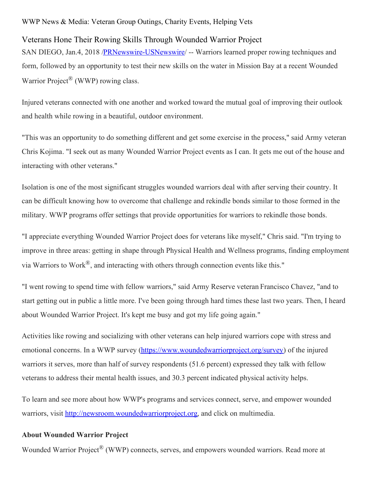## WWP News & Media: Veteran Group Outings, Charity Events, Helping Vets

## Veterans Hone Their Rowing Skills Through Wounded Warrior Project

SAN DIEGO, Jan.4, 2018 /**PRNewswire-USNewswire/** -- Warriors learned proper rowing techniques and form, followed by an opportunity to test their new skills on the water in Mission Bay at a recent Wounded Warrior Project<sup>®</sup> (WWP) rowing class.

Injured veterans connected with one another and worked toward the mutual goal of improving their outlook and health while rowing in a beautiful, outdoor environment.

"This was an opportunity to do something different and get some exercise in the process," said Army veteran Chris Kojima. "I seek out as many Wounded Warrior Project events as I can. It gets me out of the house and interacting with other veterans."

Isolation is one of the most significant struggles wounded warriors deal with after serving their country. It can be difficult knowing how to overcome that challenge and rekindle bonds similar to those formed in the military. WWP programs offer settings that provide opportunities for warriors to rekindle those bonds.

"I appreciate everything Wounded Warrior Project does for veterans like myself," Chris said. "I'm trying to improve in three areas: getting in shape through Physical Health and Wellness programs, finding employment via Warriors to Work®, and interacting with others through connection events like this."

"I went rowing to spend time with fellow warriors," said Army Reserve veteran Francisco Chavez, "and to start getting out in public a little more. I've been going through hard times these last two years. Then, I heard about Wounded Warrior Project. It's kept me busy and got my life going again."

Activities like rowing and socializing with other veterans can help injured warriors cope with stress and emotional concerns. In a WWP survey [\(https://www.woundedwarriorproject.org/survey](https://www.woundedwarriorproject.org/survey)) of the injured warriors it serves, more than half of survey respondents (51.6 percent) expressed they talk with fellow veterans to address their mental health issues, and 30.3 percent indicated physical activity helps.

To learn and see more about how WWP's programs and services connect, serve, and empower wounded warriors, visit [http://newsroom.woundedwarriorproject.org](http://newsroom.woundedwarriorproject.org/), and click on multimedia.

## **About Wounded Warrior Project**

Wounded Warrior Project<sup>®</sup> (WWP) connects, serves, and empowers wounded warriors. Read more at